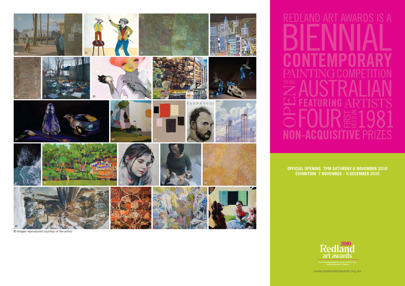

*© Images reproduced courtesy of the artists*

**ART AWARDS RED NON-ACQUISITIV** 

**Official Opening 7pm Saturday 6 November 2010 Exhibition 7 November – 5 December 2010**



www.redlandartawards.org.au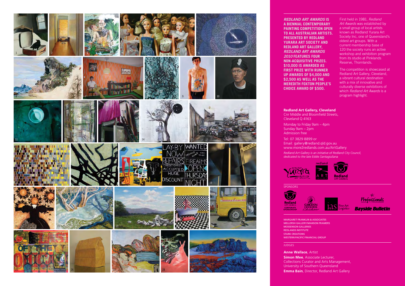

*Redland Art Awa rds* **i s a biennial c ontemp orary painting c ompetiti on open t o all A u stralian arti t s. s Pre sented by Redland Yurara Art S ociety and Redland Art Gallery,**  *Redland Art Awa rds 2010* **feature s f our n on-acqui sitive prize s. \$10,000 i s awarded a s fir st prize with runner up award of \$4,000 and s \$2,500 a s well a s the Meredith Foxt on P e ople' s C h oice Award f \$500. o**

First held in 1981, *Redland Art Awards* was established by a small group of local artists known as Redland Yurara Art Society Inc, one of Queensland's oldest art groups. With a current membership base of 120 the society runs an active workshop and exhibition program from its studio at Pinklands Reserve, Thornlands.

The competition is showcased at Redland Art Gallery, Cleveland, a vibrant cultural destination with a mix of innovative and culturally diverse exhibitions of which *Redland Art Awards* is a program highlight.

## **Redland Art Gallery, Cleveland**

Cnr Middle and Bloomfield Streets, Cleveland Q 4163

Monday to Friday 9am – 4pm Sunday 9am – 2pm Admission free

Tel: 07 3829 8899 or Email: gallery@redland.qld.gov.au www.more2redlands.com.au/ArtGallery

*Redland Art Gallery is an initiative of Redland City Council, dedicated to the late Eddie Santagiuliana*





1as





.<br>Eine Art<br>Logistics **Bayside Bulletin** 

Margaret Franklin & Associates Mellersh Gallery/Manson Fra mers Mossenson Galleries Redlands Institute Stark Creations Western Paci fic Financial Grou p

## **JUDGES**

**Spon sor ship**

**Anne Wallace**, Artist

**Simon Mee**, Associate Lecturer, Collections Curator and Arts Management, University of Southern Queensland **Emma Bain**, Director, Redland Art Gallery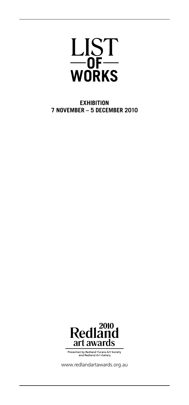

**Exhibition 7 November – 5 December 2010**



Presented by Redland Yurara Art Society<br>and Redland Art Gallery

www.redlandartawards.org.au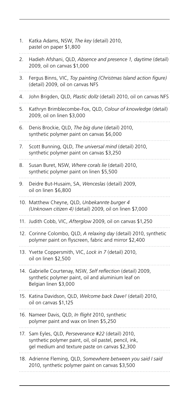| 1.  | Katka Adams, NSW, The key (detail) 2010,<br>pastel on paper \$1,800                                                                                         |
|-----|-------------------------------------------------------------------------------------------------------------------------------------------------------------|
| 2.  | Hadieh Afshani, QLD, Absence and presence 1, daytime (detail)<br>2009, oil on canvas \$1,000                                                                |
| 3.  | Fergus Binns, VIC, Toy painting (Christmas Island action figure)<br>(detail) 2009, oil on canvas NFS                                                        |
| 4.  | John Brigden, QLD, Plastic dollz (detail) 2010, oil on canvas NFS                                                                                           |
| 5.  | Kathryn Brimblecombe-Fox, QLD, Colour of knowledge (detail)<br>2009, oil on linen \$3,000                                                                   |
| 6.  | Denis Brockie, QLD, The big dune (detail) 2010,<br>synthetic polymer paint on canvas \$6,000                                                                |
| 7.  | Scott Bunning, QLD, The universal mind (detail) 2010,<br>synthetic polymer paint on canvas \$3,250                                                          |
| 8.  | Susan Buret, NSW, Where corals lie (detail) 2010,<br>synthetic polymer paint on linen \$5,500                                                               |
| 9.  | Deidre But-Husaim, SA, Wenceslas (detail) 2009,<br>oil on linen \$6,800                                                                                     |
|     | 10. Matthew Cheyne, QLD, Unbekannte burger 4<br>(Unknown citizen 4) (detail) 2009, oil on linen \$7,000                                                     |
| 11. | Judith Cobb, VIC, Afterglow 2009, oil on canvas \$1,250                                                                                                     |
|     | 12. Corinne Colombo, QLD, A relaxing day (detail) 2010, synthetic<br>polymer paint on flyscreen, fabric and mirror \$2,400                                  |
|     | 13. Yvette Coppersmith, VIC, Lock in 7 (detail) 2010,<br>oil on linen \$2,500                                                                               |
|     | 14. Gabrielle Courtenay, NSW, Self reflection (detail) 2009,<br>synthetic polymer paint, oil and aluminium leaf on<br>Belgian linen \$3,000                 |
|     | 15. Katina Davidson, QLD, Welcome back Dave! (detail) 2010,<br>oil on canvas \$1,125                                                                        |
|     | 16. Nameer Davis, QLD, In flight 2010, synthetic<br>polymer paint and wax on linen \$5,250                                                                  |
| 17. | Sam Eyles, QLD, Perseverance #22 (detail) 2010,<br>synthetic polymer paint, oil, oil pastel, pencil, ink,<br>gel medium and texture paste on canvas \$2,300 |
|     | 18. Adrienne Fleming, QLD, Somewhere between you said I said<br>2010, synthetic polymer paint on canvas \$3,500                                             |
|     |                                                                                                                                                             |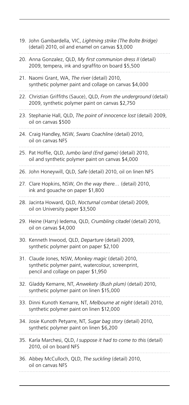|     | 19. John Gambardella, VIC, Lightning strike (The Bolte Bridge)<br>(detail) 2010, oil and enamel on canvas \$3,000                               |
|-----|-------------------------------------------------------------------------------------------------------------------------------------------------|
|     | 20. Anna Gonzalez, QLD, My first communion dress II (detail)<br>2009, tempera, ink and sgraffito on board \$5,500                               |
| 21. | Naomi Grant, WA, The river (detail) 2010,<br>synthetic polymer paint and collage on canvas \$4,000                                              |
|     | 22. Christian Griffiths (Sauce), QLD, From the underground (detail)<br>2009, synthetic polymer paint on canvas \$2,750                          |
|     | 23. Stephanie Hall, QLD, The point of innocence lost (detail) 2009,<br>oil on canvas \$500                                                      |
|     | 24. Craig Handley, NSW, Swans Coachline (detail) 2010,<br>oil on canvas NFS                                                                     |
|     | 25. Pat Hoffie, QLD, Jumbo land (End game) (detail) 2010,<br>oil and synthetic polymer paint on canvas \$4,000                                  |
|     | 26. John Honeywill, QLD, Safe (detail) 2010, oil on linen NFS                                                                                   |
|     | 27. Clare Hopkins, NSW, On the way there (detail) 2010,<br>ink and gouache on paper \$1,800                                                     |
|     | 28. Jacinta Howard, QLD, Nocturnal combat (detail) 2009,<br>oil on University paper \$3,500                                                     |
|     | 29. Heine (Harry) ledema, QLD, Crumbling citadel (detail) 2010,<br>oil on canvas \$4,000                                                        |
|     | 30. Kenneth Inwood, QLD, Departure (detail) 2009,<br>synthetic polymer paint on paper \$2,100                                                   |
|     | 31. Claude Jones, NSW, Monkey magic (detail) 2010,<br>synthetic polymer paint, watercolour, screenprint,<br>pencil and collage on paper \$1,950 |
|     | 32. Gladdy Kemarre, NT, Anwekety (Bush plum) (detail) 2010,<br>synthetic polymer paint on linen \$15,000                                        |
|     | 33. Dinni Kunoth Kemarre, NT, Melbourne at night (detail) 2010,<br>synthetic polymer paint on linen \$12,000                                    |
|     | 34. Josie Kunoth Petyarre, NT, Sugar bag story (detail) 2010,<br>synthetic polymer paint on linen \$6,200                                       |
|     | 35. Karla Marchesi, QLD, I suppose it had to come to this (detail)<br>2010, oil on board NFS                                                    |
|     | 36. Abbey McCulloch, QLD, The suckling (detail) 2010,<br>oil on canvas NFS                                                                      |
|     |                                                                                                                                                 |